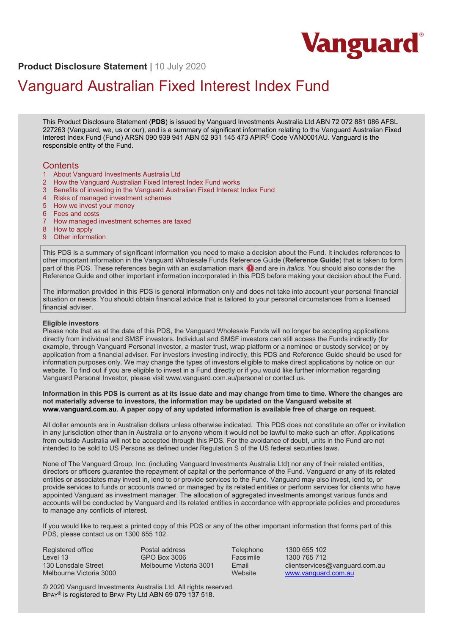

**Product Disclosure Statement** | 10 July 2020

# Vanguard Australian Fixed Interest Index Fund

This Product Disclosure Statement (**PDS**) is issued by Vanguard Investments Australia Ltd ABN 72 072 881 086 AFSL 227263 (Vanguard, we, us or our), and is a summary of significant information relating to the Vanguard Australian Fixed Interest Index Fund (Fund) ARSN 090 939 941 ABN 52 931 145 473 APIR® Code VAN0001AU. Vanguard is the responsible entity of the Fund.

# **Contents**

- 1 About Vanguard Investments Australia Ltd
- 2 How the Vanguard Australian Fixed Interest Index Fund works
- 3 Benefits of investing in the Vanguard Australian Fixed Interest Index Fund
- 4 Risks of managed investment schemes
- 5 How we invest your money
- 6 Fees and costs
- 7 How managed investment schemes are taxed
- 8 How to apply
- 9 Other information

This PDS is a summary of significant information you need to make a decision about the Fund. It includes references to other important information in the Vanguard Wholesale Funds Reference Guide (**Reference Guide**) that is taken to form part of this PDS. These references begin with an exclamation mark  $\bigcirc$  and are in *italics*. You should also consider the Reference Guide and other important information incorporated in this PDS before making your decision about the Fund.

The information provided in this PDS is general information only and does not take into account your personal financial situation or needs. You should obtain financial advice that is tailored to your personal circumstances from a licensed financial adviser.

## **Eligible investors**

Please note that as at the date of this PDS, the Vanguard Wholesale Funds will no longer be accepting applications directly from individual and SMSF investors. Individual and SMSF investors can still access the Funds indirectly (for example, through Vanguard Personal Investor, a master trust, wrap platform or a nominee or custody service) or by application from a financial adviser. For investors investing indirectly, this PDS and Reference Guide should be used for information purposes only. We may change the types of investors eligible to make direct applications by notice on our website. To find out if you are eligible to invest in a Fund directly or if you would like further information regarding Vanguard Personal Investor, please visit www.vanguard.com.au/personal or contact us.

#### **Information in this PDS is current as at its issue date and may change from time to time. Where the changes are not materially adverse to investors, the information may be updated on the Vanguard website at www.vanguard.com.au. A paper copy of any updated information is available free of charge on request.**

All dollar amounts are in Australian dollars unless otherwise indicated. This PDS does not constitute an offer or invitation in any jurisdiction other than in Australia or to anyone whom it would not be lawful to make such an offer. Applications from outside Australia will not be accepted through this PDS. For the avoidance of doubt, units in the Fund are not intended to be sold to US Persons as defined under Regulation S of the US federal securities laws.

None of The Vanguard Group, Inc. (including Vanguard Investments Australia Ltd) nor any of their related entities, directors or officers guarantee the repayment of capital or the performance of the Fund. Vanguard or any of its related entities or associates may invest in, lend to or provide services to the Fund. Vanguard may also invest, lend to, or provide services to funds or accounts owned or managed by its related entities or perform services for clients who have appointed Vanguard as investment manager. The allocation of aggregated investments amongst various funds and accounts will be conducted by Vanguard and its related entities in accordance with appropriate policies and procedures to manage any conflicts of interest.

If you would like to request a printed copy of this PDS or any of the other important information that forms part of this PDS, please contact us on 1300 655 102.

Registered office Level 13 130 Lonsdale Street Melbourne Victoria 3000 Postal address GPO Box 3006 Melbourne Victoria 3001

Telephone 1300 655 102<br>
Facsimile 1300 765 712 Facsimile 1300 765 712<br>Fmail clientservices clientservices@vanguard.com.au Website www.vanguard.com.au

© 2020 Vanguard Investments Australia Ltd. All rights reserved. BPAY® is registered to BPAY Pty Ltd ABN 69 079 137 518.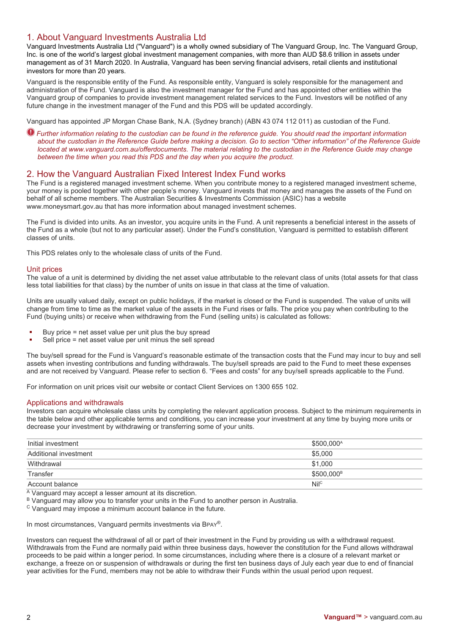# 1. About Vanguard Investments Australia Ltd

Vanguard Investments Australia Ltd ("Vanguard") is a wholly owned subsidiary of The Vanguard Group, Inc. The Vanguard Group, Inc. is one of the world's largest global investment management companies, with more than AUD \$8.6 trillion in assets under management as of 31 March 2020. In Australia, Vanguard has been serving financial advisers, retail clients and institutional investors for more than 20 years.

Vanguard is the responsible entity of the Fund. As responsible entity, Vanguard is solely responsible for the management and administration of the Fund. Vanguard is also the investment manager for the Fund and has appointed other entities within the Vanguard group of companies to provide investment management related services to the Fund. Investors will be notified of any future change in the investment manager of the Fund and this PDS will be updated accordingly.

Vanguard has appointed JP Morgan Chase Bank, N.A. (Sydney branch) (ABN 43 074 112 011) as custodian of the Fund.

*Further information relating to the custodian can be found in the reference guide. You should read the important information about the custodian in the Reference Guide before making a decision. Go to section "Other information" of the Reference Guide located at www.vanguard.com.au/offerdocuments. The material relating to the custodian in the Reference Guide may change between the time when you read this PDS and the day when you acquire the product.*

# 2. How the Vanguard Australian Fixed Interest Index Fund works

The Fund is a registered managed investment scheme. When you contribute money to a registered managed investment scheme, your money is pooled together with other people's money. Vanguard invests that money and manages the assets of the Fund on behalf of all scheme members. The Australian Securities & Investments Commission (ASIC) has a website www.moneysmart.gov.au that has more information about managed investment schemes.

The Fund is divided into units. As an investor, you acquire units in the Fund. A unit represents a beneficial interest in the assets of the Fund as a whole (but not to any particular asset). Under the Fund's constitution, Vanguard is permitted to establish different classes of units.

This PDS relates only to the wholesale class of units of the Fund.

## Unit prices

The value of a unit is determined by dividing the net asset value attributable to the relevant class of units (total assets for that class less total liabilities for that class) by the number of units on issue in that class at the time of valuation.

Units are usually valued daily, except on public holidays, if the market is closed or the Fund is suspended. The value of units will change from time to time as the market value of the assets in the Fund rises or falls. The price you pay when contributing to the Fund (buying units) or receive when withdrawing from the Fund (selling units) is calculated as follows:

- Buy price = net asset value per unit plus the buy spread
- Sell price = net asset value per unit minus the sell spread

The buy/sell spread for the Fund is Vanguard's reasonable estimate of the transaction costs that the Fund may incur to buy and sell assets when investing contributions and funding withdrawals. The buy/sell spreads are paid to the Fund to meet these expenses and are not received by Vanguard. Please refer to section 6. "Fees and costs" for any buy/sell spreads applicable to the Fund.

For information on unit prices visit our website or contact Client Services on 1300 655 102.

## Applications and withdrawals

Investors can acquire wholesale class units by completing the relevant application process. Subject to the minimum requirements in the table below and other applicable terms and conditions, you can increase your investment at any time by buying more units or decrease your investment by withdrawing or transferring some of your units.

| Initial investment    | \$500,000 <sup>A</sup> |
|-----------------------|------------------------|
| Additional investment | \$5.000                |
| Withdrawal            | \$1.000                |
| Transfer              | \$500.000 <sup>B</sup> |
| Account balance       | Nil <sup>c</sup>       |

A Vanguard may accept a lesser amount at its discretion.

B Vanguard may allow you to transfer your units in the Fund to another person in Australia.

 $\textdegree$  Vanguard may impose a minimum account balance in the future.

In most circumstances, Vanguard permits investments via BPAY®.

Investors can request the withdrawal of all or part of their investment in the Fund by providing us with a withdrawal request. Withdrawals from the Fund are normally paid within three business days, however the constitution for the Fund allows withdrawal proceeds to be paid within a longer period. In some circumstances, including where there is a closure of a relevant market or exchange, a freeze on or suspension of withdrawals or during the first ten business days of July each year due to end of financial year activities for the Fund, members may not be able to withdraw their Funds within the usual period upon request.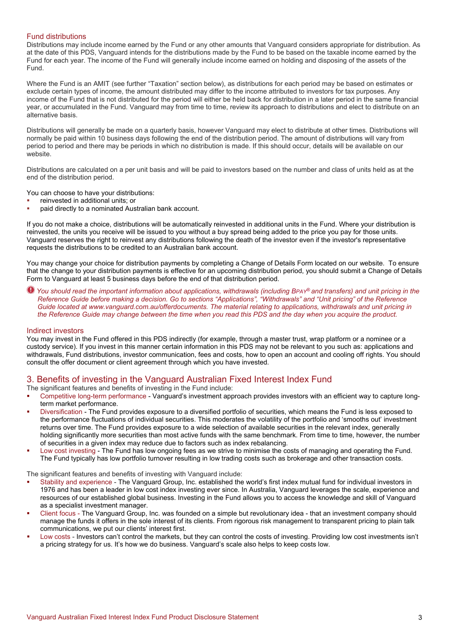## Fund distributions

Distributions may include income earned by the Fund or any other amounts that Vanguard considers appropriate for distribution. As at the date of this PDS, Vanguard intends for the distributions made by the Fund to be based on the taxable income earned by the Fund for each year. The income of the Fund will generally include income earned on holding and disposing of the assets of the Fund.

Where the Fund is an AMIT (see further "Taxation" section below), as distributions for each period may be based on estimates or exclude certain types of income, the amount distributed may differ to the income attributed to investors for tax purposes. Any income of the Fund that is not distributed for the period will either be held back for distribution in a later period in the same financial year, or accumulated in the Fund. Vanguard may from time to time, review its approach to distributions and elect to distribute on an alternative basis.

Distributions will generally be made on a quarterly basis, however Vanguard may elect to distribute at other times. Distributions will normally be paid within 10 business days following the end of the distribution period. The amount of distributions will vary from period to period and there may be periods in which no distribution is made. If this should occur, details will be available on our website.

Distributions are calculated on a per unit basis and will be paid to investors based on the number and class of units held as at the end of the distribution period.

You can choose to have your distributions:

- reinvested in additional units; or
- paid directly to a nominated Australian bank account.

If you do not make a choice, distributions will be automatically reinvested in additional units in the Fund. Where your distribution is reinvested, the units you receive will be issued to you without a buy spread being added to the price you pay for those units. Vanguard reserves the right to reinvest any distributions following the death of the investor even if the investor's representative requests the distributions to be credited to an Australian bank account.

You may change your choice for distribution payments by completing a Change of Details Form located on our website. To ensure that the change to your distribution payments is effective for an upcoming distribution period, you should submit a Change of Details Form to Vanguard at least 5 business days before the end of that distribution period.

*You should read the important information about applications, withdrawals (including BPAY® and transfers) and unit pricing in the Reference Guide before making a decision. Go to sections "Applications", "Withdrawals" and "Unit pricing" of the Reference Guide located at www.vanguard.com.au/offerdocuments. The material relating to applications, withdrawals and unit pricing in the Reference Guide may change between the time when you read this PDS and the day when you acquire the product.*

#### Indirect investors

You may invest in the Fund offered in this PDS indirectly (for example, through a master trust, wrap platform or a nominee or a custody service). If you invest in this manner certain information in this PDS may not be relevant to you such as: applications and withdrawals, Fund distributions, investor communication, fees and costs, how to open an account and cooling off rights. You should consult the offer document or client agreement through which you have invested.

# 3. Benefits of investing in the Vanguard Australian Fixed Interest Index Fund

The significant features and benefits of investing in the Fund include:

- Competitive long-term performance Vanguard's investment approach provides investors with an efficient way to capture longterm market performance.
- Diversification The Fund provides exposure to a diversified portfolio of securities, which means the Fund is less exposed to the performance fluctuations of individual securities. This moderates the volatility of the portfolio and 'smooths out' investment returns over time. The Fund provides exposure to a wide selection of available securities in the relevant index, generally holding significantly more securities than most active funds with the same benchmark. From time to time, however, the number of securities in a given index may reduce due to factors such as index rebalancing.
- Low cost investing The Fund has low ongoing fees as we strive to minimise the costs of managing and operating the Fund. The Fund typically has low portfolio turnover resulting in low trading costs such as brokerage and other transaction costs.

The significant features and benefits of investing with Vanguard include:

- Stability and experience The Vanguard Group, Inc. established the world's first index mutual fund for individual investors in 1976 and has been a leader in low cost index investing ever since. In Australia, Vanguard leverages the scale, experience and resources of our established global business. Investing in the Fund allows you to access the knowledge and skill of Vanguard as a specialist investment manager.
- Client focus The Vanguard Group, Inc. was founded on a simple but revolutionary idea that an investment company should manage the funds it offers in the sole interest of its clients. From rigorous risk management to transparent pricing to plain talk communications, we put our clients' interest first.
- Low costs Investors can't control the markets, but they can control the costs of investing. Providing low cost investments isn't a pricing strategy for us. It's how we do business. Vanguard's scale also helps to keep costs low.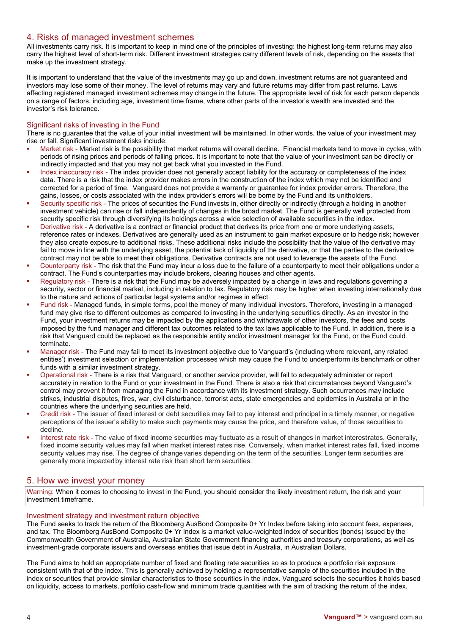# 4. Risks of managed investment schemes

All investments carry risk. It is important to keep in mind one of the principles of investing: the highest long-term returns may also carry the highest level of short-term risk. Different investment strategies carry different levels of risk, depending on the assets that make up the investment strategy.

It is important to understand that the value of the investments may go up and down, investment returns are not guaranteed and investors may lose some of their money. The level of returns may vary and future returns may differ from past returns. Laws affecting registered managed investment schemes may change in the future. The appropriate level of risk for each person depends on a range of factors, including age, investment time frame, where other parts of the investor's wealth are invested and the investor's risk tolerance.

## Significant risks of investing in the Fund

There is no guarantee that the value of your initial investment will be maintained. In other words, the value of your investment may rise or fall. Significant investment risks include:

- Market risk Market risk is the possibility that market returns will overall decline. Financial markets tend to move in cycles, with periods of rising prices and periods of falling prices. It is important to note that the value of your investment can be directly or indirectly impacted and that you may not get back what you invested in the Fund.
- Index inaccuracy risk The index provider does not generally accept liability for the accuracy or completeness of the index data. There is a risk that the index provider makes errors in the construction of the index which may not be identified and corrected for a period of time. Vanguard does not provide a warranty or guarantee for index provider errors. Therefore, the gains, losses, or costs associated with the index provider's errors will be borne by the Fund and its unitholders.
- Security specific risk The prices of securities the Fund invests in, either directly or indirectly (through a holding in another investment vehicle) can rise or fall independently of changes in the broad market. The Fund is generally well protected from security specific risk through diversifying its holdings across a wide selection of available securities in the index.
- Derivative risk A derivative is a contract or financial product that derives its price from one or more underlying assets, reference rates or indexes. Derivatives are generally used as an instrument to gain market exposure or to hedge risk; however they also create exposure to additional risks. These additional risks include the possibility that the value of the derivative may fail to move in line with the underlying asset, the potential lack of liquidity of the derivative, or that the parties to the derivative contract may not be able to meet their obligations. Derivative contracts are not used to leverage the assets of the Fund.
- Counterparty risk The risk that the Fund may incur a loss due to the failure of a counterparty to meet their obligations under a contract. The Fund's counterparties may include brokers, clearing houses and other agents.
- Regulatory risk There is a risk that the Fund may be adversely impacted by a change in laws and regulations governing a security, sector or financial market, including in relation to tax. Regulatory risk may be higher when investing internationally due to the nature and actions of particular legal systems and/or regimes in effect.
- Fund risk Managed funds, in simple terms, pool the money of many individual investors. Therefore, investing in a managed fund may give rise to different outcomes as compared to investing in the underlying securities directly. As an investor in the Fund, your investment returns may be impacted by the applications and withdrawals of other investors, the fees and costs imposed by the fund manager and different tax outcomes related to the tax laws applicable to the Fund. In addition, there is a risk that Vanguard could be replaced as the responsible entity and/or investment manager for the Fund, or the Fund could terminate.
- Manager risk The Fund may fail to meet its investment objective due to Vanguard's (including where relevant, any related entities') investment selection or implementation processes which may cause the Fund to underperform its benchmark or other funds with a similar investment strategy.
- Operational risk There is a risk that Vanguard, or another service provider, will fail to adequately administer or report accurately in relation to the Fund or your investment in the Fund. There is also a risk that circumstances beyond Vanguard's control may prevent it from managing the Fund in accordance with its investment strategy. Such occurrences may include strikes, industrial disputes, fires, war, civil disturbance, terrorist acts, state emergencies and epidemics in Australia or in the countries where the underlying securities are held.
- Credit risk The issuer of fixed interest or debt securities may fail to pay interest and principal in a timely manner, or negative perceptions of the issuer's ability to make such payments may cause the price, and therefore value, of those securities to decline.
- Interest rate risk The value of fixed income securities may fluctuate as a result of changes in market interestrates. Generally, fixed income security values may fall when market interest rates rise. Conversely, when market interest rates fall, fixed income security values may rise. The degree of change varies depending on the term of the securities. Longer term securities are generally more impactedby interest rate risk than short term securities.

# 5. How we invest your money

Warning: When it comes to choosing to invest in the Fund, you should consider the likely investment return, the risk and your investment timeframe.

## Investment strategy and investment return objective

The Fund seeks to track the return of the Bloomberg AusBond Composite 0+ Yr Index before taking into account fees, expenses, and tax. The Bloomberg AusBond Composite 0+ Yr Index is a market value-weighted index of securities (bonds) issued by the Commonwealth Government of Australia, Australian State Government financing authorities and treasury corporations, as well as investment-grade corporate issuers and overseas entities that issue debt in Australia, in Australian Dollars.

The Fund aims to hold an appropriate number of fixed and floating rate securities so as to produce a portfolio risk exposure consistent with that of the index. This is generally achieved by holding a representative sample of the securities included in the index or securities that provide similar characteristics to those securities in the index. Vanguard selects the securities it holds based on liquidity, access to markets, portfolio cash-flow and minimum trade quantities with the aim of tracking the return of the index.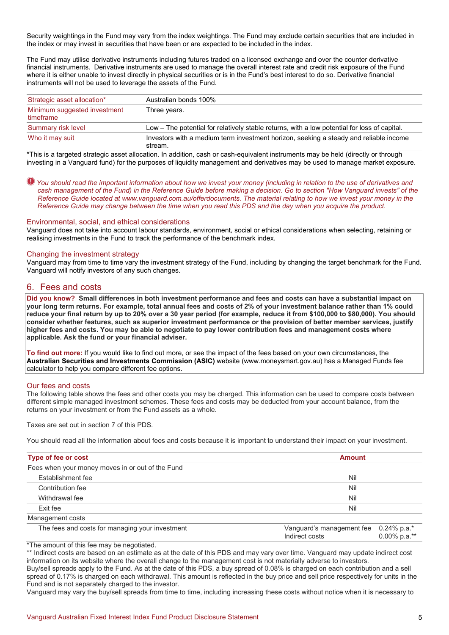Security weightings in the Fund may vary from the index weightings. The Fund may exclude certain securities that are included in the index or may invest in securities that have been or are expected to be included in the index.

The Fund may utilise derivative instruments including futures traded on a licensed exchange and over the counter derivative financial instruments. Derivative instruments are used to manage the overall interest rate and credit risk exposure of the Fund where it is either unable to invest directly in physical securities or is in the Fund's best interest to do so. Derivative financial instruments will not be used to leverage the assets of the Fund.

| Strategic asset allocation*               | Australian bonds 100%                                                                            |
|-------------------------------------------|--------------------------------------------------------------------------------------------------|
| Minimum suggested investment<br>timeframe | Three years.                                                                                     |
| Summary risk level                        | Low - The potential for relatively stable returns, with a low potential for loss of capital.     |
| Who it may suit                           | Investors with a medium term investment horizon, seeking a steady and reliable income<br>stream. |

\*This is a targeted strategic asset allocation. In addition, cash or cash-equivalent instruments may be held (directly or through investing in a Vanguard fund) for the purposes of liquidity management and derivatives may be used to manage market exposure.

*You should read the important information about how we invest your money (including in relation to the use of derivatives and cash management of the Fund) in the Reference Guide before making a decision. Go to section "How Vanguard invests" of the Reference Guide located at www.vanguard.com.au/offerdocuments. The material relating to how we invest your money in the Reference Guide may change between the time when you read this PDS and the day when you acquire the product.* 

## Environmental, social, and ethical considerations

Vanguard does not take into account labour standards, environment, social or ethical considerations when selecting, retaining or realising investments in the Fund to track the performance of the benchmark index.

#### Changing the investment strategy

Vanguard may from time to time vary the investment strategy of the Fund, including by changing the target benchmark for the Fund. Vanguard will notify investors of any such changes.

## 6. Fees and costs

**Did you know? Small differences in both investment performance and fees and costs can have a substantial impact on your long term returns. For example, total annual fees and costs of 2% of your investment balance rather than 1% could reduce your final return by up to 20% over a 30 year period (for example, reduce it from \$100,000 to \$80,000). You should consider whether features, such as superior investment performance or the provision of better member services, justify higher fees and costs. You may be able to negotiate to pay lower contribution fees and management costs where applicable. Ask the fund or your financial adviser.**

**To find out more:** If you would like to find out more, or see the impact of the fees based on your own circumstances, the **Australian Securities and Investments Commission (ASIC)** website (www.moneysmart.gov.au) has a Managed Funds fee calculator to help you compare different fee options.

#### Our fees and costs

The following table shows the fees and other costs you may be charged. This information can be used to compare costs between different simple managed investment schemes. These fees and costs may be deducted from your account balance, from the returns on your investment or from the Fund assets as a whole.

Taxes are set out in section 7 of this PDS.

You should read all the information about fees and costs because it is important to understand their impact on your investment.

| Type of fee or cost                              | <b>Amount</b>                                           |                 |  |
|--------------------------------------------------|---------------------------------------------------------|-----------------|--|
| Fees when your money moves in or out of the Fund |                                                         |                 |  |
| <b>Establishment fee</b>                         | Nil                                                     |                 |  |
| Contribution fee                                 | Nil                                                     |                 |  |
| Withdrawal fee                                   | Nil                                                     |                 |  |
| Exit fee                                         | Nil                                                     |                 |  |
| Management costs                                 |                                                         |                 |  |
| The fees and costs for managing your investment  | Vanguard's management fee 0.24% p.a.*<br>Indirect costs | $0.00\%$ p.a.** |  |

\*The amount of this fee may be negotiated.

\*\* Indirect costs are based on an estimate as at the date of this PDS and may vary over time. Vanguard may update indirect cost information on its website where the overall change to the management cost is not materially adverse to investors.

Buy/sell spreads apply to the Fund. As at the date of this PDS, a buy spread of 0.08% is charged on each contribution and a sell spread of 0.17% is charged on each withdrawal. This amount is reflected in the buy price and sell price respectively for units in the Fund and is not separately charged to the investor.

Vanguard may vary the buy/sell spreads from time to time, including increasing these costs without notice when it is necessary to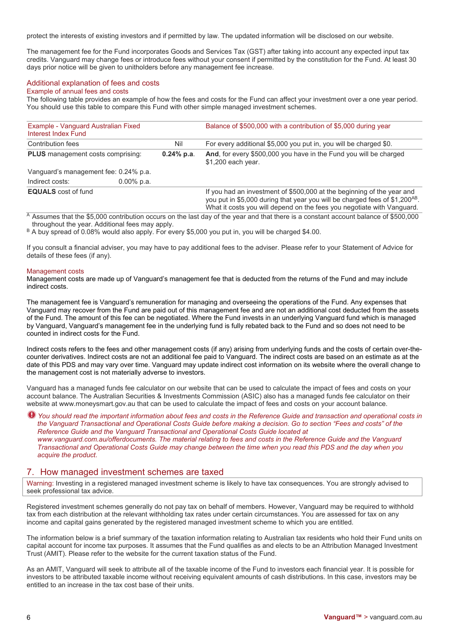protect the interests of existing investors and if permitted by law. The updated information will be disclosed on our website.

The management fee for the Fund incorporates Goods and Services Tax (GST) after taking into account any expected input tax credits. Vanguard may change fees or introduce fees without your consent if permitted by the constitution for the Fund. At least 30 days prior notice will be given to unitholders before any management fee increase.

## Additional explanation of fees and costs

#### Example of annual fees and costs

The following table provides an example of how the fees and costs for the Fund can affect your investment over a one year period. You should use this table to compare this Fund with other simple managed investment schemes.

| Example - Vanguard Australian Fixed<br>Interest Index Fund |               |               | Balance of \$500,000 with a contribution of \$5,000 during year                                                                                                                                                                |
|------------------------------------------------------------|---------------|---------------|--------------------------------------------------------------------------------------------------------------------------------------------------------------------------------------------------------------------------------|
| Contribution fees                                          |               | Nil           | For every additional \$5,000 you put in, you will be charged \$0.                                                                                                                                                              |
| <b>PLUS</b> management costs comprising:                   |               | $0.24\%$ p.a. | And, for every \$500,000 you have in the Fund you will be charged<br>\$1,200 each year.                                                                                                                                        |
| Vanguard's management fee: 0.24% p.a.                      |               |               |                                                                                                                                                                                                                                |
| Indirect costs:                                            | $0.00\%$ p.a. |               |                                                                                                                                                                                                                                |
| <b>EQUALS</b> cost of fund                                 |               |               | If you had an investment of \$500,000 at the beginning of the year and<br>you put in \$5,000 during that year you will be charged fees of \$1,200AB.<br>What it costs you will depend on the fees you negotiate with Vanguard. |

 $\overline{A}$  Assumes that the \$5,000 contribution occurs on the last day of the year and that there is a constant account balance of \$500,000 throughout the year. Additional fees may apply.

B A buy spread of 0.08% would also apply. For every \$5,000 you put in, you will be charged \$4.00.

If you consult a financial adviser, you may have to pay additional fees to the adviser. Please refer to your Statement of Advice for details of these fees (if any).

#### Management costs

Management costs are made up of Vanguard's management fee that is deducted from the returns of the Fund and may include indirect costs.

The management fee is Vanguard's remuneration for managing and overseeing the operations of the Fund. Any expenses that Vanguard may recover from the Fund are paid out of this management fee and are not an additional cost deducted from the assets of the Fund. The amount of this fee can be negotiated. Where the Fund invests in an underlying Vanguard fund which is managed by Vanguard, Vanguard's management fee in the underlying fund is fully rebated back to the Fund and so does not need to be counted in indirect costs for the Fund.

Indirect costs refers to the fees and other management costs (if any) arising from underlying funds and the costs of certain over-thecounter derivatives. Indirect costs are not an additional fee paid to Vanguard. The indirect costs are based on an estimate as at the date of this PDS and may vary over time. Vanguard may update indirect cost information on its website where the overall change to the management cost is not materially adverse to investors.

Vanguard has a managed funds fee calculator on our website that can be used to calculate the impact of fees and costs on your account balance. The Australian Securities & Investments Commission (ASIC) also has a managed funds fee calculator on their website at www.moneysmart.gov.au that can be used to calculate the impact of fees and costs on your account balance.

*You should read the important information about fees and costs in the Reference Guide and transaction and operational costs in the Vanguard Transactional and Operational Costs Guide before making a decision. Go to section "Fees and costs" of the Reference Guide and the Vanguard Transactional and Operational Costs Guide located at www.vanguard.com.au/offerdocuments. The material relating to fees and costs in the Reference Guide and the Vanguard Transactional and Operational Costs Guide may change between the time when you read this PDS and the day when you acquire the product.*

# 7. How managed investment schemes are taxed

Warning: Investing in a registered managed investment scheme is likely to have tax consequences. You are strongly advised to seek professional tax advice.

Registered investment schemes generally do not pay tax on behalf of members. However, Vanguard may be required to withhold tax from each distribution at the relevant withholding tax rates under certain circumstances. You are assessed for tax on any income and capital gains generated by the registered managed investment scheme to which you are entitled.

The information below is a brief summary of the taxation information relating to Australian tax residents who hold their Fund units on capital account for income tax purposes. It assumes that the Fund qualifies as and elects to be an Attribution Managed Investment Trust (AMIT). Please refer to the website for the current taxation status of the Fund.

As an AMIT, Vanguard will seek to attribute all of the taxable income of the Fund to investors each financial year. It is possible for investors to be attributed taxable income without receiving equivalent amounts of cash distributions. In this case, investors may be entitled to an increase in the tax cost base of their units.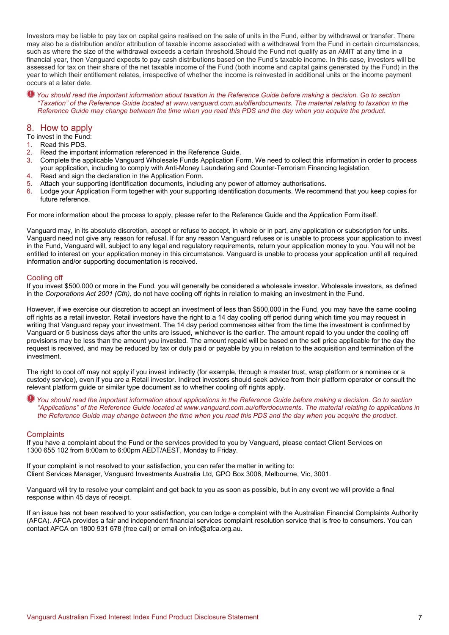Investors may be liable to pay tax on capital gains realised on the sale of units in the Fund, either by withdrawal or transfer. There may also be a distribution and/or attribution of taxable income associated with a withdrawal from the Fund in certain circumstances, such as where the size of the withdrawal exceeds a certain threshold.Should the Fund not qualify as an AMIT at any time in a financial year, then Vanguard expects to pay cash distributions based on the Fund's taxable income. In this case, investors will be assessed for tax on their share of the net taxable income of the Fund (both income and capital gains generated by the Fund) in the year to which their entitlement relates, irrespective of whether the income is reinvested in additional units or the income payment occurs at a later date.

*You should read the important information about taxation in the Reference Guide before making a decision. Go to section "Taxation" of the Reference Guide located at www.vanguard.com.au/offerdocuments. The material relating to taxation in the Reference Guide may change between the time when you read this PDS and the day when you acquire the product.* 

## 8. How to apply

To invest in the Fund:

- 1. Read this PDS.
- 2. Read the important information referenced in the Reference Guide.
- 3. Complete the applicable Vanguard Wholesale Funds Application Form. We need to collect this information in order to process your application, including to comply with Anti-Money Laundering and Counter-Terrorism Financing legislation.
- 4. Read and sign the declaration in the Application Form.
- 5. Attach your supporting identification documents, including any power of attorney authorisations.
- 6. Lodge your Application Form together with your supporting identification documents. We recommend that you keep copies for future reference.

For more information about the process to apply, please refer to the Reference Guide and the Application Form itself.

Vanguard may, in its absolute discretion, accept or refuse to accept, in whole or in part, any application or subscription for units. Vanguard need not give any reason for refusal. If for any reason Vanguard refuses or is unable to process your application to invest in the Fund, Vanguard will, subject to any legal and regulatory requirements, return your application money to you. You will not be entitled to interest on your application money in this circumstance. Vanguard is unable to process your application until all required information and/or supporting documentation is received.

## Cooling off

If you invest \$500,000 or more in the Fund, you will generally be considered a wholesale investor. Wholesale investors, as defined in the *Corporations Act 2001 (Cth),* do not have cooling off rights in relation to making an investment in the Fund.

However, if we exercise our discretion to accept an investment of less than \$500,000 in the Fund, you may have the same cooling off rights as a retail investor. Retail investors have the right to a 14 day cooling off period during which time you may request in writing that Vanguard repay your investment. The 14 day period commences either from the time the investment is confirmed by Vanguard or 5 business days after the units are issued, whichever is the earlier. The amount repaid to you under the cooling off provisions may be less than the amount you invested. The amount repaid will be based on the sell price applicable for the day the request is received, and may be reduced by tax or duty paid or payable by you in relation to the acquisition and termination of the investment.

The right to cool off may not apply if you invest indirectly (for example, through a master trust, wrap platform or a nominee or a custody service), even if you are a Retail investor. Indirect investors should seek advice from their platform operator or consult the relevant platform guide or similar type document as to whether cooling off rights apply.

*You should read the important information about applications in the Reference Guide before making a decision. Go to section "Applications" of the Reference Guide located at www.vanguard.com.au/offerdocuments. The material relating to applications in the Reference Guide may change between the time when you read this PDS and the day when you acquire the product.*

## **Complaints**

If you have a complaint about the Fund or the services provided to you by Vanguard, please contact Client Services on 1300 655 102 from 8:00am to 6:00pm AEDT/AEST, Monday to Friday.

If your complaint is not resolved to your satisfaction, you can refer the matter in writing to: Client Services Manager, Vanguard Investments Australia Ltd, GPO Box 3006, Melbourne, Vic, 3001.

Vanguard will try to resolve your complaint and get back to you as soon as possible, but in any event we will provide a final response within 45 days of receipt.

If an issue has not been resolved to your satisfaction, you can lodge a complaint with the Australian Financial Complaints Authority (AFCA). AFCA provides a fair and independent financial services complaint resolution service that is free to consumers. You can contact AFCA on 1800 931 678 (free call) or email on info@afca.org.au.